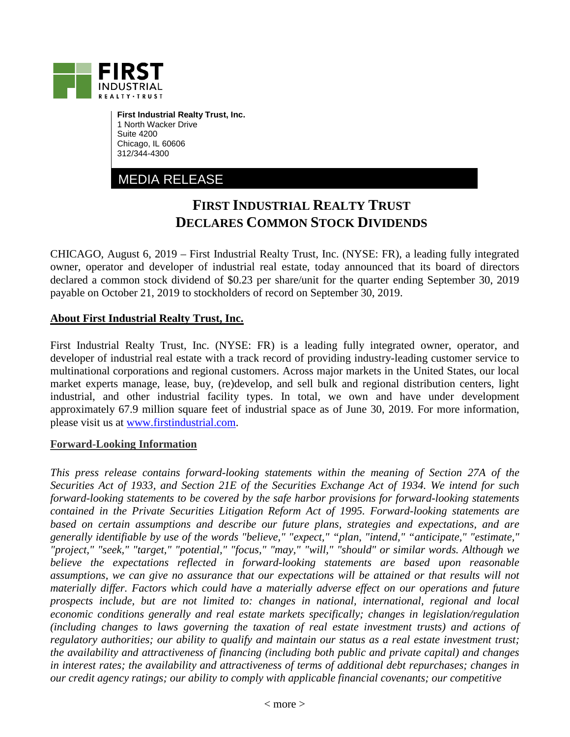

**First Industrial Realty Trust, Inc.** 1 North Wacker Drive Suite 4200 Chicago, IL 60606 312/344-4300

MEDIA RELEASE

## **FIRST INDUSTRIAL REALTY TRUST DECLARES COMMON STOCK DIVIDENDS**

CHICAGO, August 6, 2019 – First Industrial Realty Trust, Inc. (NYSE: FR), a leading fully integrated owner, operator and developer of industrial real estate, today announced that its board of directors declared a common stock dividend of \$0.23 per share/unit for the quarter ending September 30, 2019 payable on October 21, 2019 to stockholders of record on September 30, 2019.

## **About First Industrial Realty Trust, Inc.**

First Industrial Realty Trust, Inc. (NYSE: FR) is a leading fully integrated owner, operator, and developer of industrial real estate with a track record of providing industry-leading customer service to multinational corporations and regional customers. Across major markets in the United States, our local market experts manage, lease, buy, (re)develop, and sell bulk and regional distribution centers, light industrial, and other industrial facility types. In total, we own and have under development approximately 67.9 million square feet of industrial space as of June 30, 2019. For more information, please visit us at [www.firstindustrial.com.](http://www.firstindustrial.com/)

## **Forward-Looking Information**

*This press release contains forward-looking statements within the meaning of Section 27A of the Securities Act of 1933, and Section 21E of the Securities Exchange Act of 1934. We intend for such forward-looking statements to be covered by the safe harbor provisions for forward-looking statements contained in the Private Securities Litigation Reform Act of 1995. Forward-looking statements are based on certain assumptions and describe our future plans, strategies and expectations, and are generally identifiable by use of the words "believe," "expect," "plan, "intend," "anticipate," "estimate," "project," "seek," "target," "potential," "focus," "may," "will," "should" or similar words. Although we believe the expectations reflected in forward-looking statements are based upon reasonable assumptions, we can give no assurance that our expectations will be attained or that results will not materially differ. Factors which could have a materially adverse effect on our operations and future prospects include, but are not limited to: changes in national, international, regional and local economic conditions generally and real estate markets specifically; changes in legislation/regulation (including changes to laws governing the taxation of real estate investment trusts) and actions of regulatory authorities; our ability to qualify and maintain our status as a real estate investment trust; the availability and attractiveness of financing (including both public and private capital) and changes in interest rates; the availability and attractiveness of terms of additional debt repurchases; changes in our credit agency ratings; our ability to comply with applicable financial covenants; our competitive*